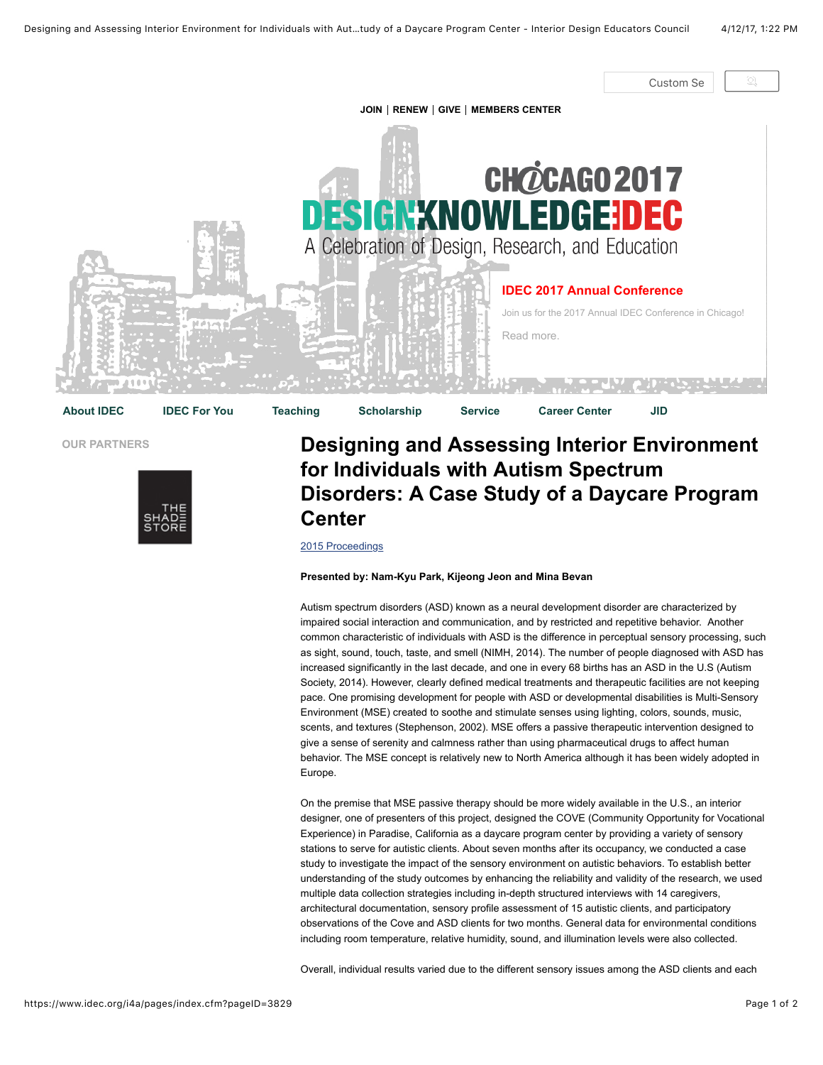

## **OUR PARTNERS**



## **Designing and Assessing Interior Environment for Individuals with Autism Spectrum Disorders: A Case Study of a Daycare Program Center**

[2015 Proceedings](https://www.idec.org/i4a/pages/index.cfm?pageid=3739)

## **Presented by: Nam-Kyu Park, Kijeong Jeon and Mina Bevan**

Autism spectrum disorders (ASD) known as a neural development disorder are characterized by impaired social interaction and communication, and by restricted and repetitive behavior. Another common characteristic of individuals with ASD is the difference in perceptual sensory processing, such as sight, sound, touch, taste, and smell (NIMH, 2014). The number of people diagnosed with ASD has increased significantly in the last decade, and one in every 68 births has an ASD in the U.S (Autism Society, 2014). However, clearly defined medical treatments and therapeutic facilities are not keeping pace. One promising development for people with ASD or developmental disabilities is Multi-Sensory Environment (MSE) created to soothe and stimulate senses using lighting, colors, sounds, music, scents, and textures (Stephenson, 2002). MSE offers a passive therapeutic intervention designed to give a sense of serenity and calmness rather than using pharmaceutical drugs to affect human behavior. The MSE concept is relatively new to North America although it has been widely adopted in Europe.

On the premise that MSE passive therapy should be more widely available in the U.S., an interior designer, one of presenters of this project, designed the COVE (Community Opportunity for Vocational Experience) in Paradise, California as a daycare program center by providing a variety of sensory stations to serve for autistic clients. About seven months after its occupancy, we conducted a case study to investigate the impact of the sensory environment on autistic behaviors. To establish better understanding of the study outcomes by enhancing the reliability and validity of the research, we used multiple data collection strategies including in-depth structured interviews with 14 caregivers, architectural documentation, sensory profile assessment of 15 autistic clients, and participatory observations of the Cove and ASD clients for two months. General data for environmental conditions including room temperature, relative humidity, sound, and illumination levels were also collected.

Overall, individual results varied due to the different sensory issues among the ASD clients and each